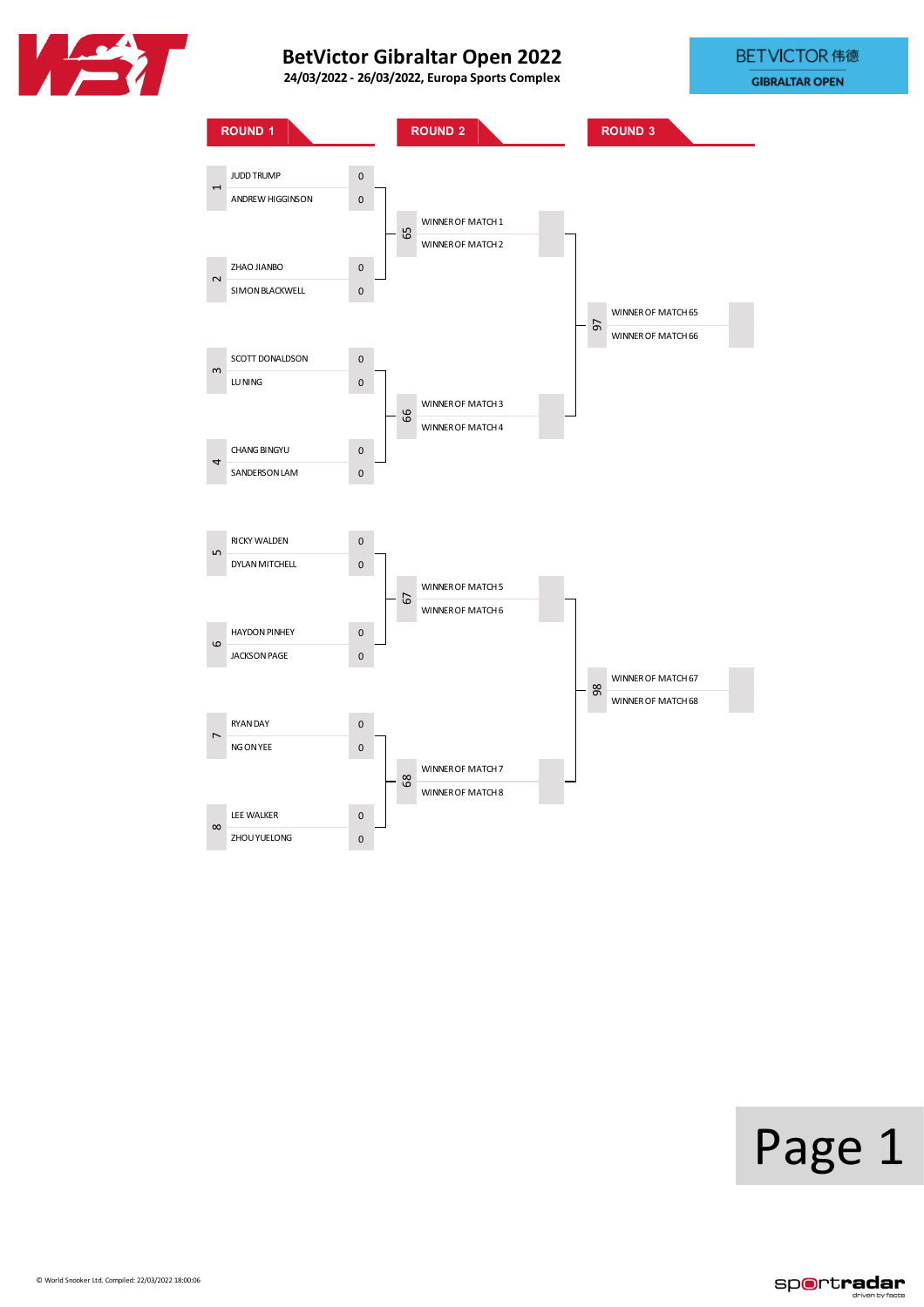





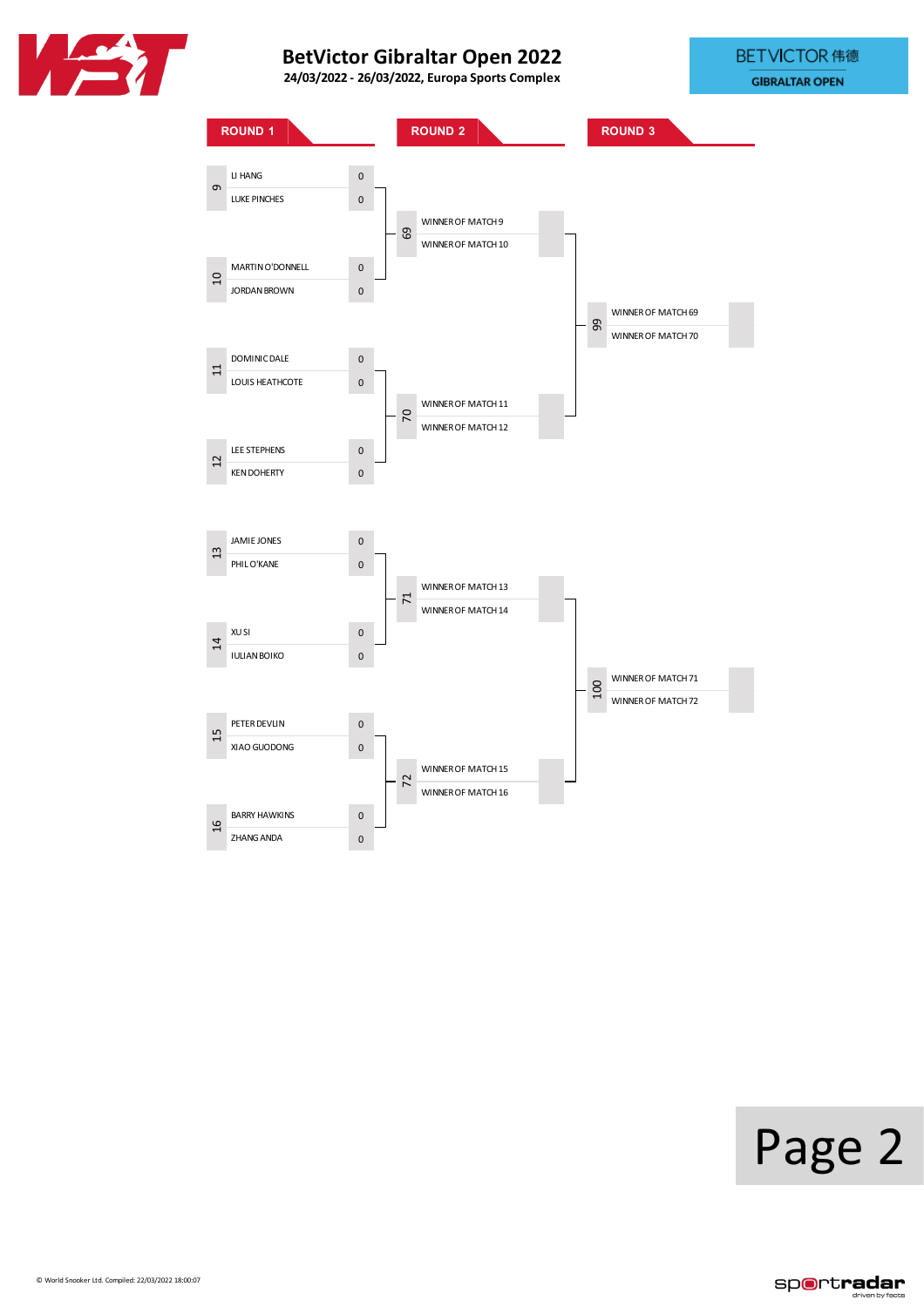





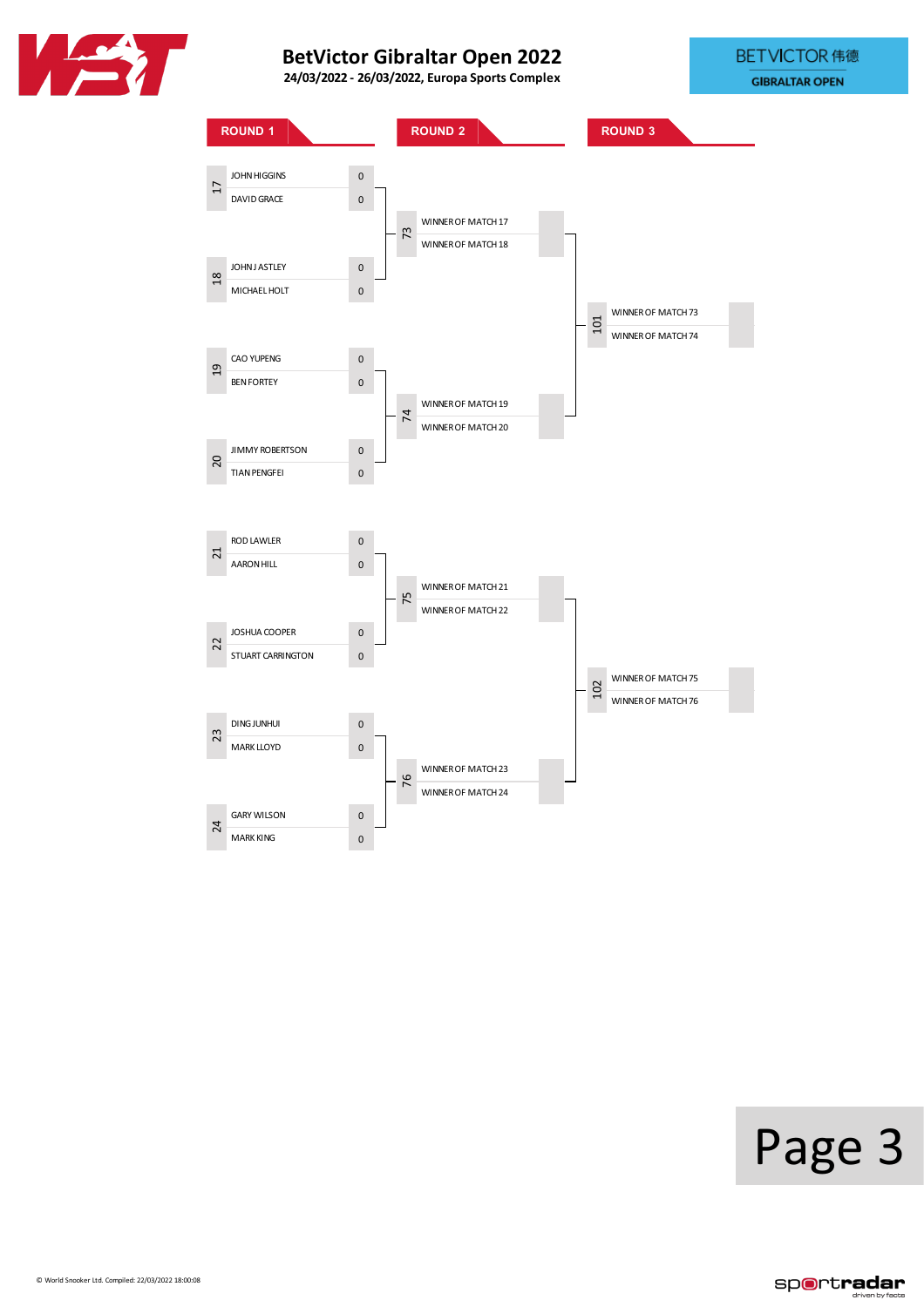





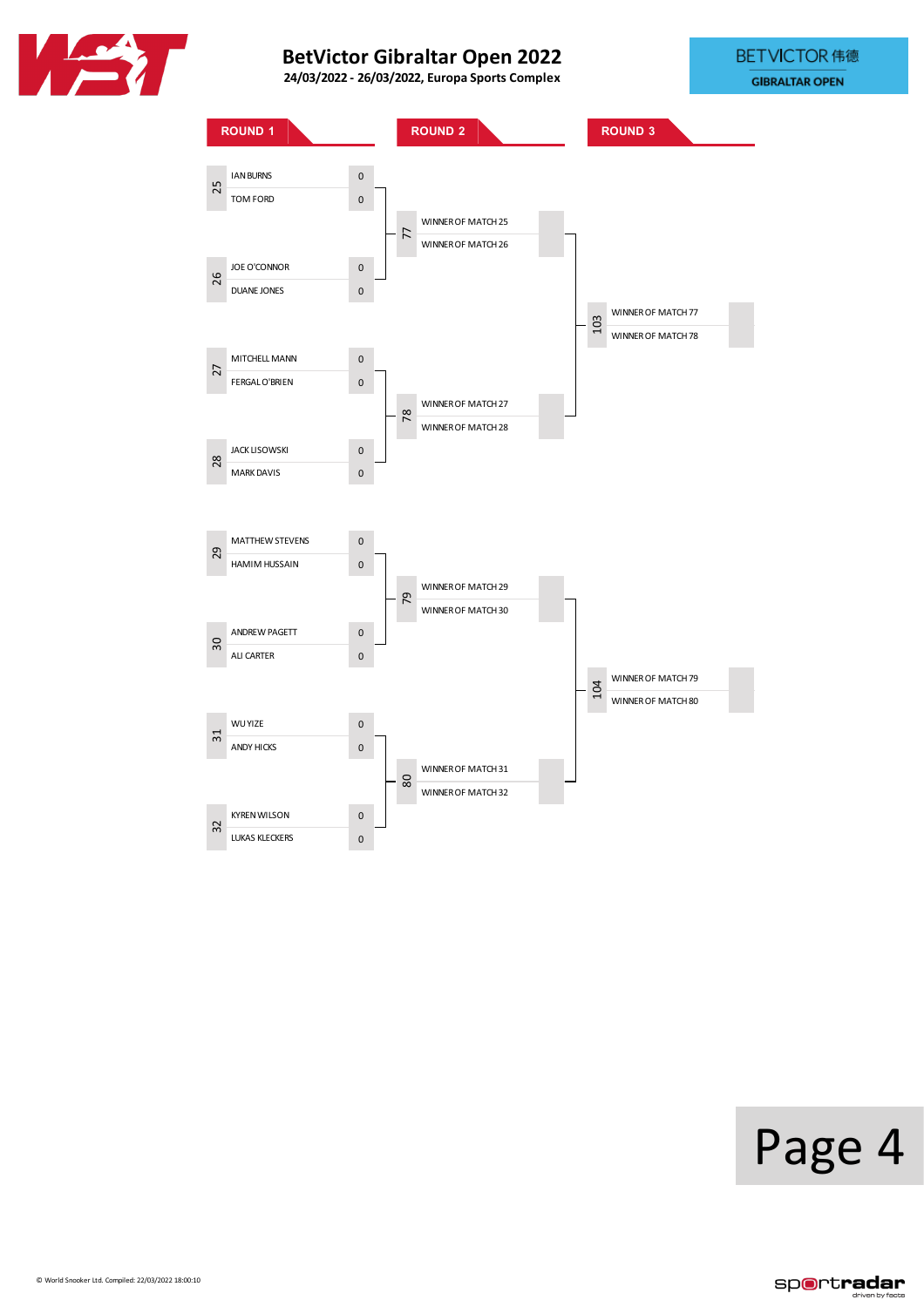





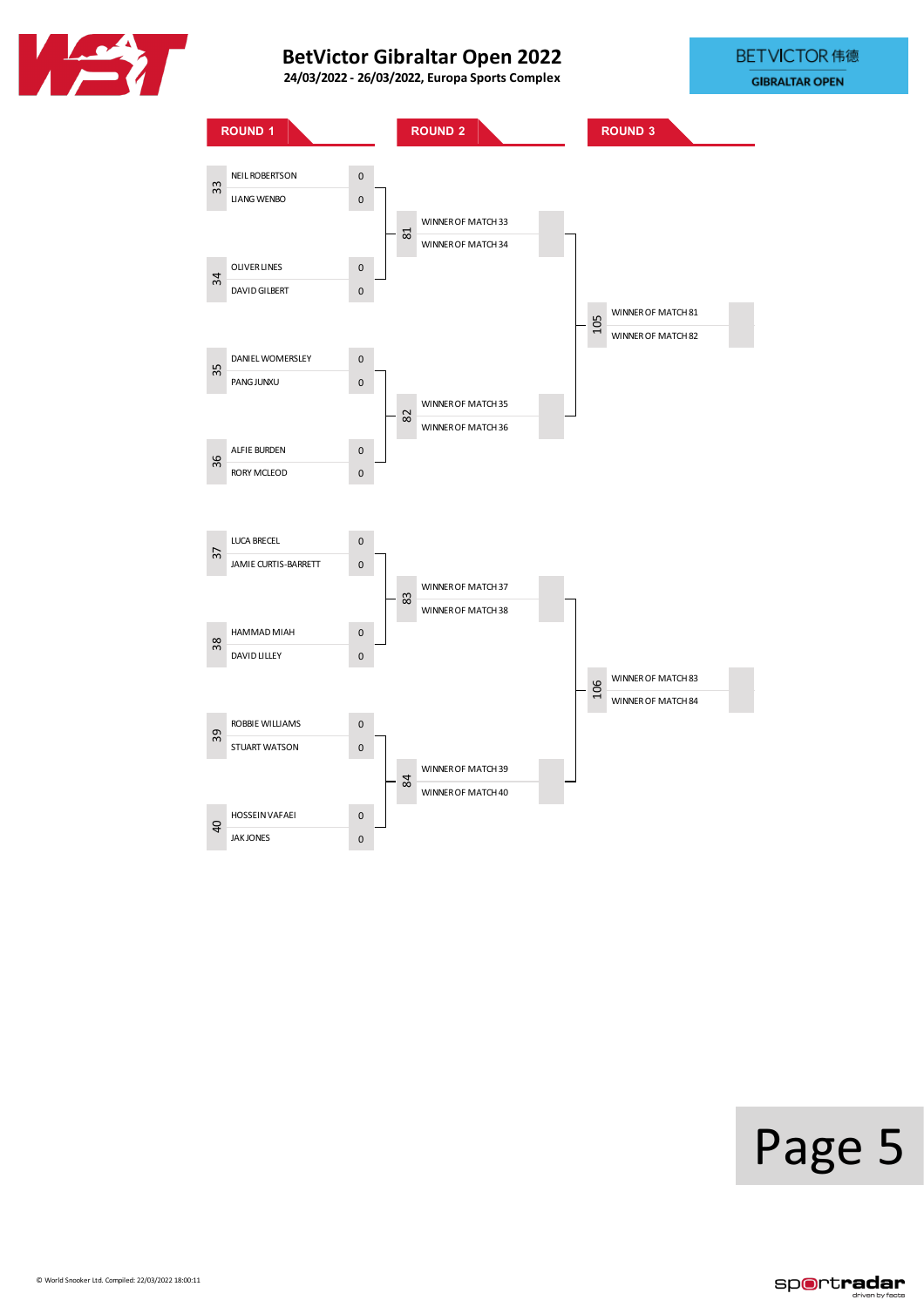





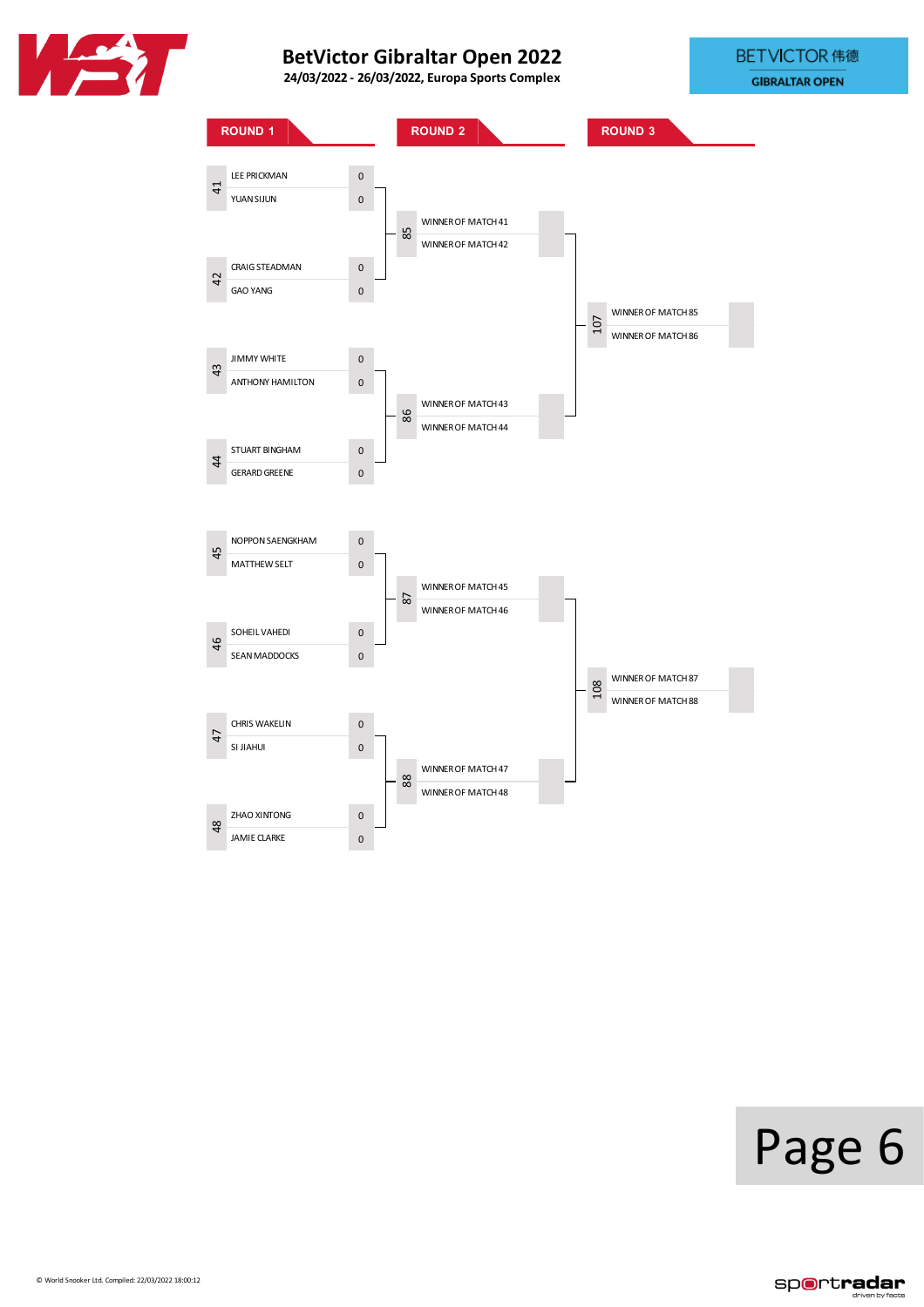





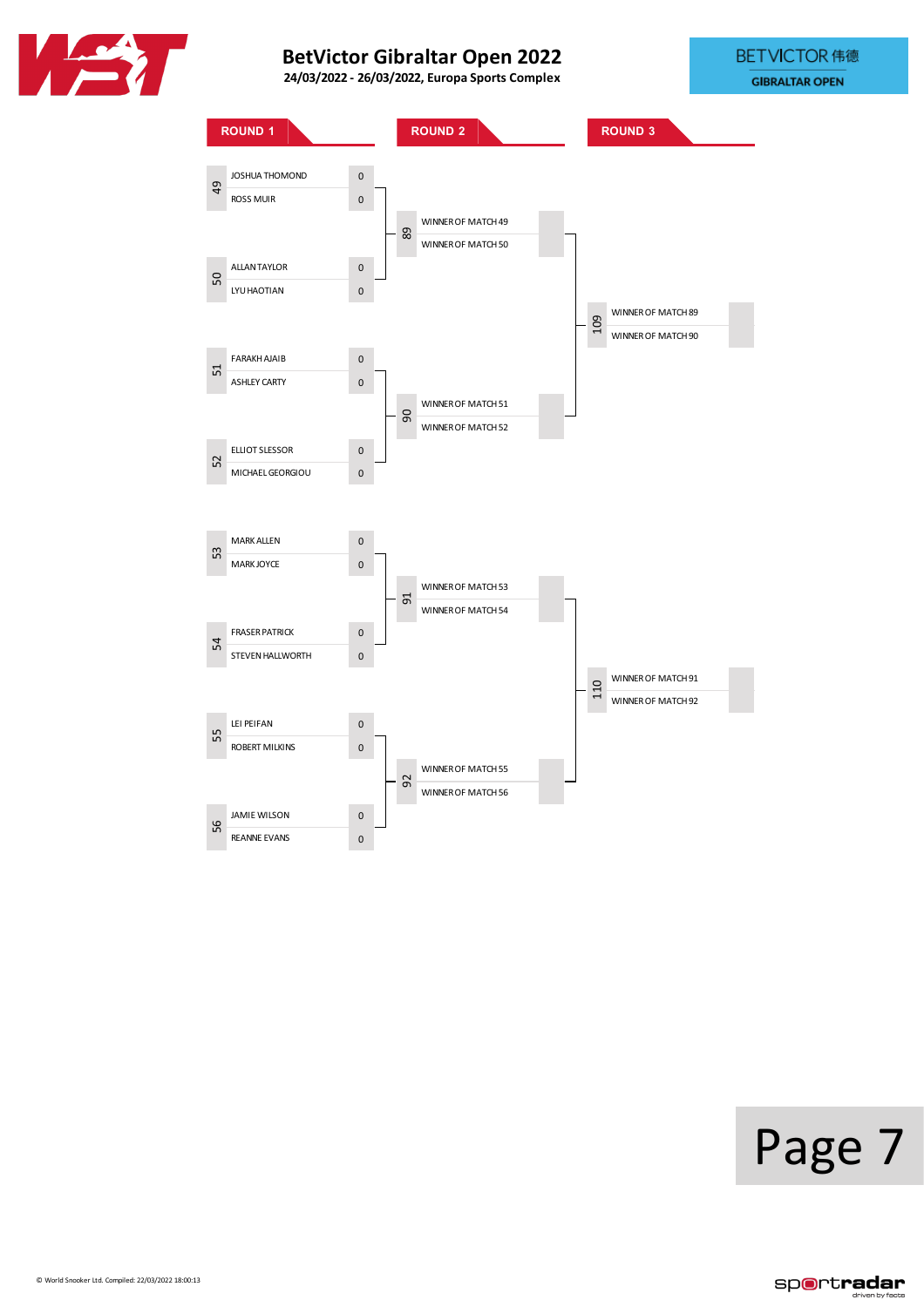





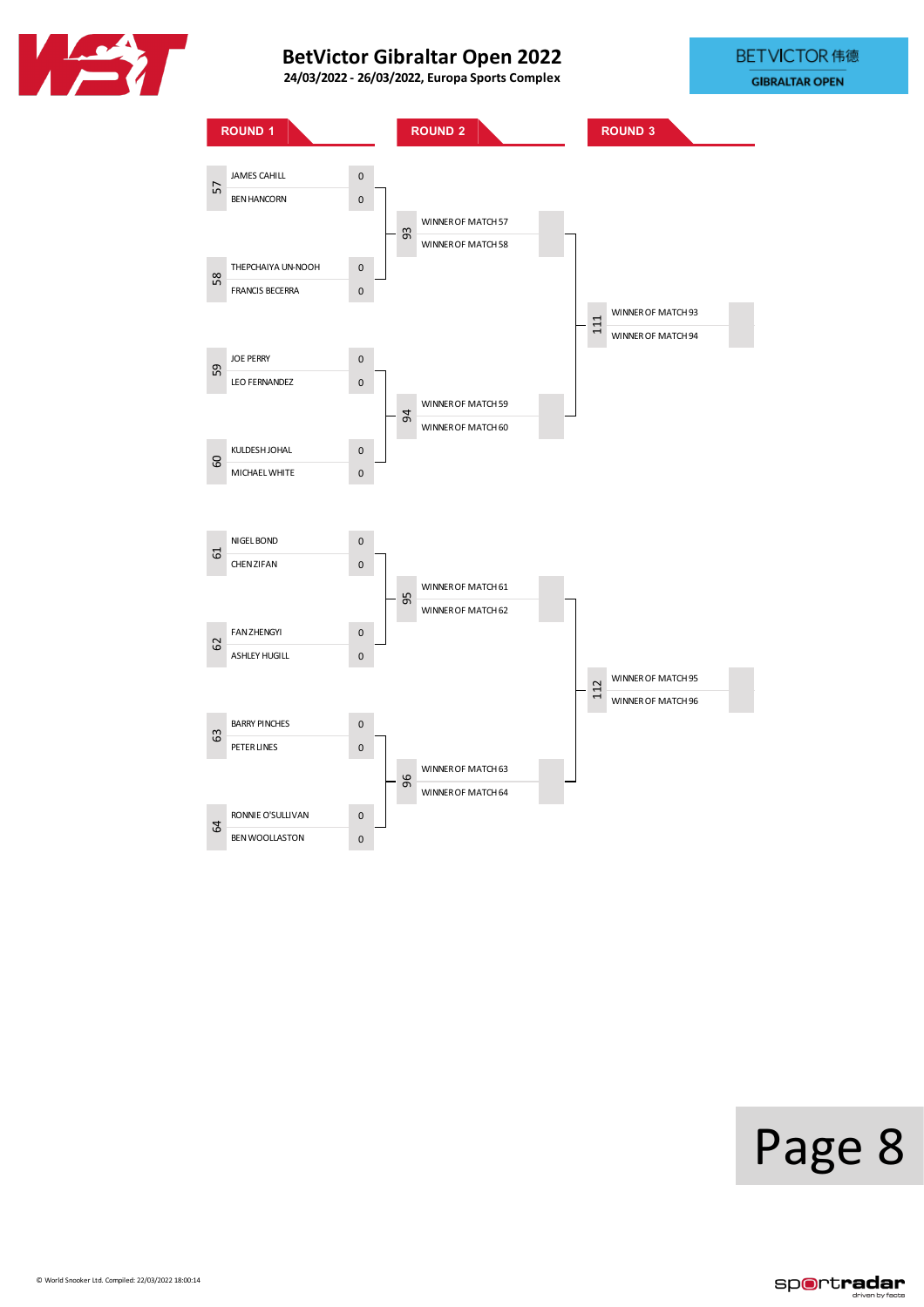